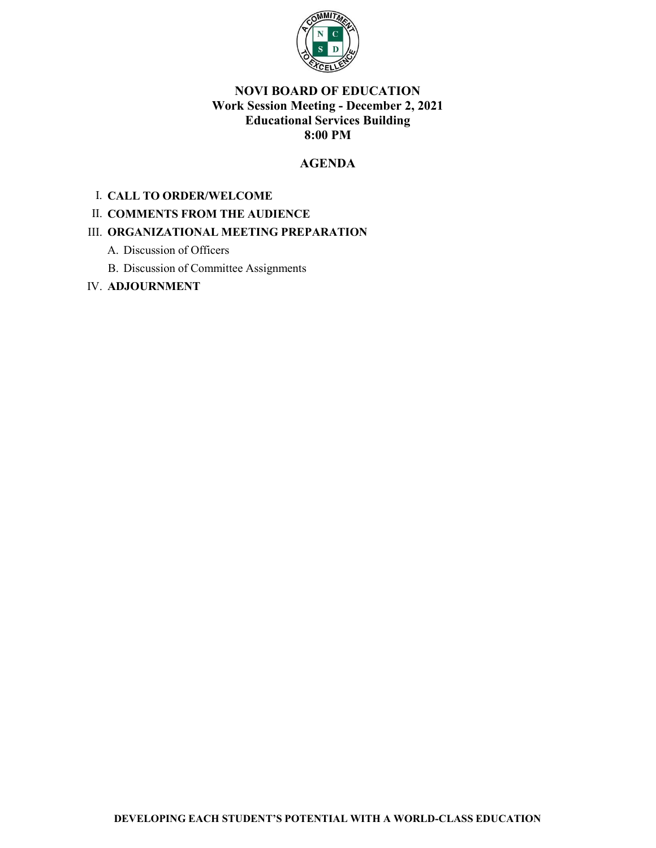

### **NOVI BOARD OF EDUCATION Work Session Meeting - December 2, 2021 Educational Services Building 8:00 PM**

### **AGENDA**

### I. **CALL TO ORDER/WELCOME**

### II. **COMMENTS FROM THE AUDIENCE**

### III. **ORGANIZATIONAL MEETING PREPARATION**

- A. Discussion of Officers
- B. Discussion of Committee Assignments

### IV. **ADJOURNMENT**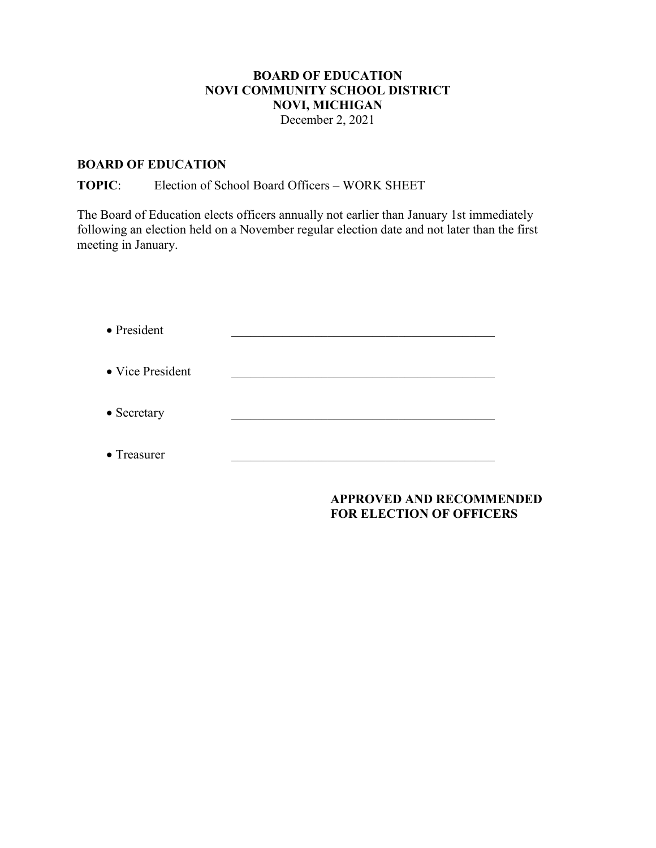## **BOARD OF EDUCATION NOVI COMMUNITY SCHOOL DISTRICT NOVI, MICHIGAN**

December 2, 2021

### **BOARD OF EDUCATION**

### **TOPIC**: Election of School Board Officers – WORK SHEET

The Board of Education elects officers annually not earlier than January 1st immediately following an election held on a November regular election date and not later than the first meeting in January.

| • President      |  |
|------------------|--|
| • Vice President |  |
| • Secretary      |  |
| • Treasurer      |  |

### **APPROVED AND RECOMMENDED FOR ELECTION OF OFFICERS**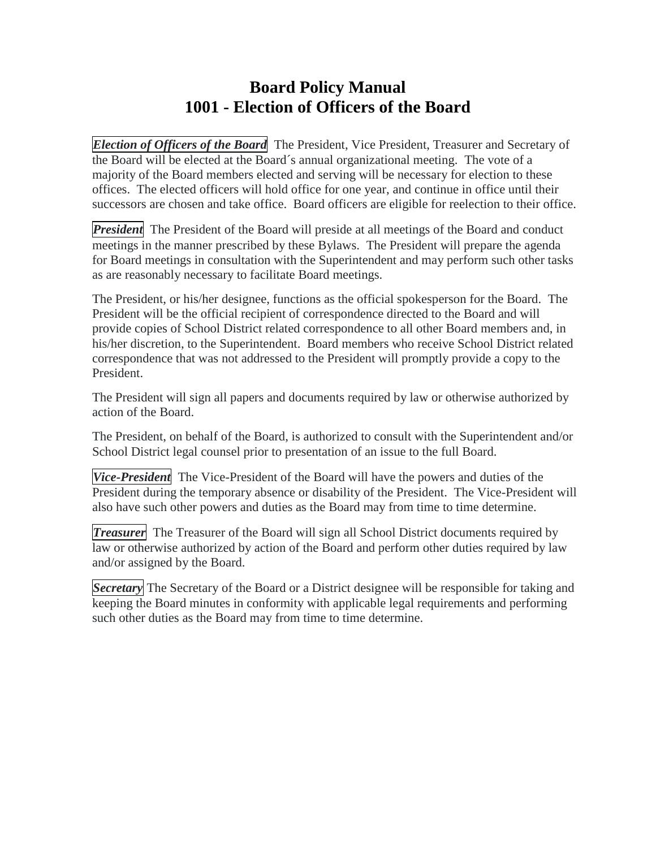# **Board Policy Manual 1001 - Election of Officers of the Board**

*Election of Officers of the Board* The President, Vice President, Treasurer and Secretary of the Board will be elected at the Board´s annual organizational meeting. The vote of a majority of the Board members elected and serving will be necessary for election to these offices. The elected officers will hold office for one year, and continue in office until their successors are chosen and take office. Board officers are eligible for reelection to their office.

**President** The President of the Board will preside at all meetings of the Board and conduct meetings in the manner prescribed by these Bylaws. The President will prepare the agenda for Board meetings in consultation with the Superintendent and may perform such other tasks as are reasonably necessary to facilitate Board meetings.

The President, or his/her designee, functions as the official spokesperson for the Board. The President will be the official recipient of correspondence directed to the Board and will provide copies of School District related correspondence to all other Board members and, in his/her discretion, to the Superintendent. Board members who receive School District related correspondence that was not addressed to the President will promptly provide a copy to the President.

The President will sign all papers and documents required by law or otherwise authorized by action of the Board.

The President, on behalf of the Board, is authorized to consult with the Superintendent and/or School District legal counsel prior to presentation of an issue to the full Board.

*Vice-President* The Vice-President of the Board will have the powers and duties of the President during the temporary absence or disability of the President. The Vice-President will also have such other powers and duties as the Board may from time to time determine.

*Treasurer* The Treasurer of the Board will sign all School District documents required by law or otherwise authorized by action of the Board and perform other duties required by law and/or assigned by the Board.

**Secretary** The Secretary of the Board or a District designee will be responsible for taking and keeping the Board minutes in conformity with applicable legal requirements and performing such other duties as the Board may from time to time determine.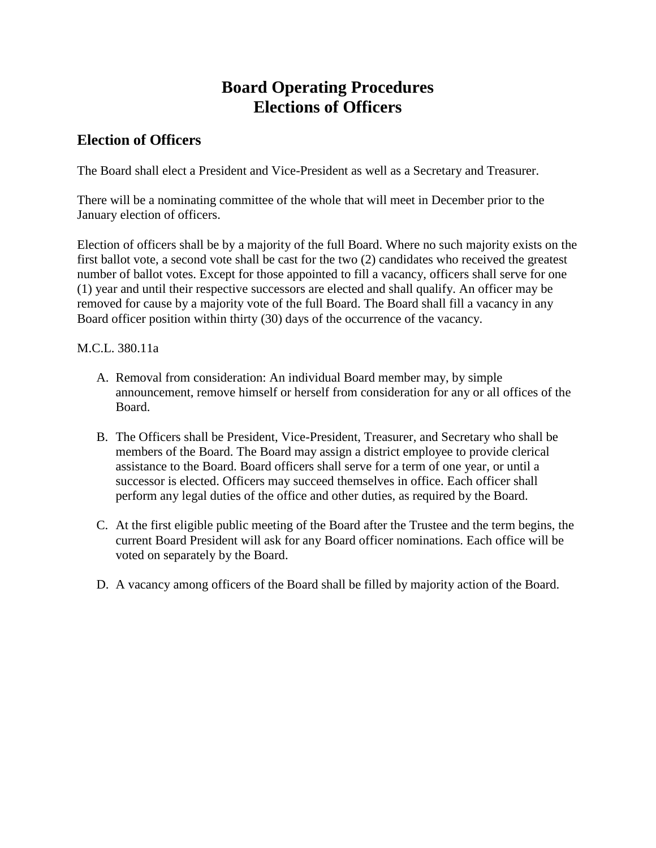# **Board Operating Procedures Elections of Officers**

## **Election of Officers**

The Board shall elect a President and Vice-President as well as a Secretary and Treasurer.

There will be a nominating committee of the whole that will meet in December prior to the January election of officers.

Election of officers shall be by a majority of the full Board. Where no such majority exists on the first ballot vote, a second vote shall be cast for the two (2) candidates who received the greatest number of ballot votes. Except for those appointed to fill a vacancy, officers shall serve for one (1) year and until their respective successors are elected and shall qualify. An officer may be removed for cause by a majority vote of the full Board. The Board shall fill a vacancy in any Board officer position within thirty (30) days of the occurrence of the vacancy.

## M.C.L. 380.11a

- A. Removal from consideration: An individual Board member may, by simple announcement, remove himself or herself from consideration for any or all offices of the Board.
- B. The Officers shall be President, Vice-President, Treasurer, and Secretary who shall be members of the Board. The Board may assign a district employee to provide clerical assistance to the Board. Board officers shall serve for a term of one year, or until a successor is elected. Officers may succeed themselves in office. Each officer shall perform any legal duties of the office and other duties, as required by the Board.
- C. At the first eligible public meeting of the Board after the Trustee and the term begins, the current Board President will ask for any Board officer nominations. Each office will be voted on separately by the Board.
- D. A vacancy among officers of the Board shall be filled by majority action of the Board.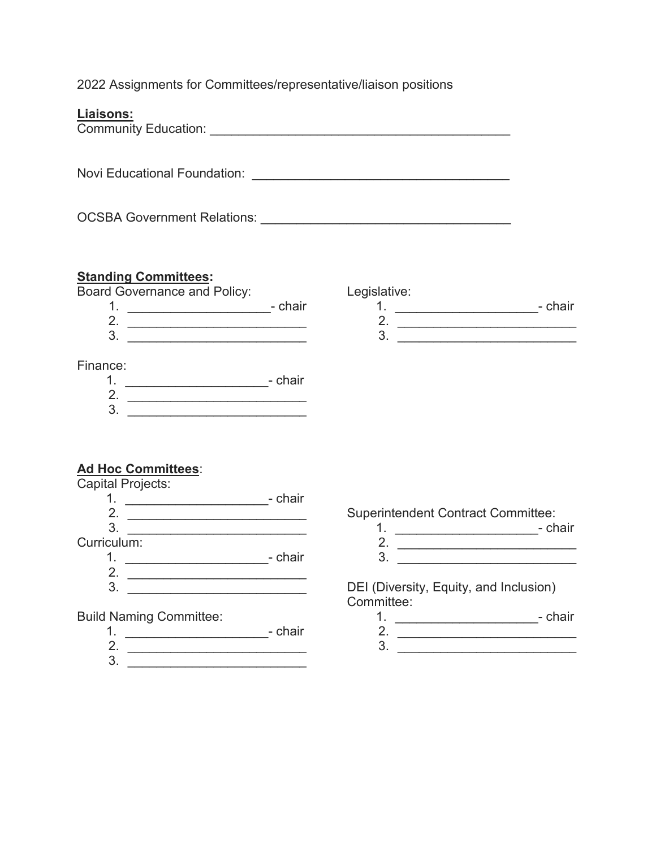2022 Assignments for Committees/representative/liaison positions

| Liaisons:                                                                                                                                                                                                                                                                                                                                                                                                                 |                                                                                       |  |
|---------------------------------------------------------------------------------------------------------------------------------------------------------------------------------------------------------------------------------------------------------------------------------------------------------------------------------------------------------------------------------------------------------------------------|---------------------------------------------------------------------------------------|--|
|                                                                                                                                                                                                                                                                                                                                                                                                                           |                                                                                       |  |
|                                                                                                                                                                                                                                                                                                                                                                                                                           |                                                                                       |  |
| <b>Standing Committees:</b><br><b>Board Governance and Policy:</b><br>2. $\frac{1}{2}$ $\frac{1}{2}$ $\frac{1}{2}$ $\frac{1}{2}$ $\frac{1}{2}$ $\frac{1}{2}$ $\frac{1}{2}$ $\frac{1}{2}$ $\frac{1}{2}$ $\frac{1}{2}$ $\frac{1}{2}$ $\frac{1}{2}$ $\frac{1}{2}$ $\frac{1}{2}$ $\frac{1}{2}$ $\frac{1}{2}$ $\frac{1}{2}$ $\frac{1}{2}$ $\frac{1}{2}$ $\frac{1}{2}$ $\frac{1}{2}$ $\frac{1}{2}$<br>$\overline{\mathbf{3}}$ . | Legislative:<br>1. _______________________________- chair<br>2. $\qquad \qquad$<br>3. |  |
| Finance:<br>$\frac{2}{3}$ .                                                                                                                                                                                                                                                                                                                                                                                               |                                                                                       |  |
| <b>Ad Hoc Committees:</b><br>Capital Projects:<br>2. $\qquad \qquad$<br>3.<br><u> 1989 - Andrea Branden, amerikan basar pada sebagai pertama di kecamatan pertama di kecamatan di kecamatan di</u>                                                                                                                                                                                                                        | <b>Superintendent Contract Committee:</b><br>1. ____________________________- chair   |  |
| Curriculum:<br>2.                                                                                                                                                                                                                                                                                                                                                                                                         | 3.                                                                                    |  |

DEI (Diversity, Equity, and Inclusion) Committee:

- 1. \_\_\_\_\_\_\_\_\_\_\_\_\_\_\_\_\_\_\_\_\_\_\_\_\_\_\_\_- chair
- 2. \_\_\_\_\_\_\_\_\_\_\_\_\_\_\_\_\_\_\_\_\_\_\_\_\_  $3. \ \ \boxed{\qquad}$
- 1. \_\_\_\_\_\_\_\_\_\_\_\_\_\_\_\_\_\_\_\_- chair 2. \_\_\_\_\_\_\_\_\_\_\_\_\_\_\_\_\_\_\_\_\_\_\_\_\_

Build Naming Committee:

3. \_\_\_\_\_\_\_\_\_\_\_\_\_\_\_\_\_\_\_\_\_\_\_\_\_

 $3.$   $\frac{1}{2}$   $\frac{1}{2}$   $\frac{1}{2}$   $\frac{1}{2}$   $\frac{1}{2}$   $\frac{1}{2}$   $\frac{1}{2}$   $\frac{1}{2}$   $\frac{1}{2}$   $\frac{1}{2}$   $\frac{1}{2}$   $\frac{1}{2}$   $\frac{1}{2}$   $\frac{1}{2}$   $\frac{1}{2}$   $\frac{1}{2}$   $\frac{1}{2}$   $\frac{1}{2}$   $\frac{1}{2}$   $\frac{1}{2}$   $\frac{1}{2}$   $\frac{1}{$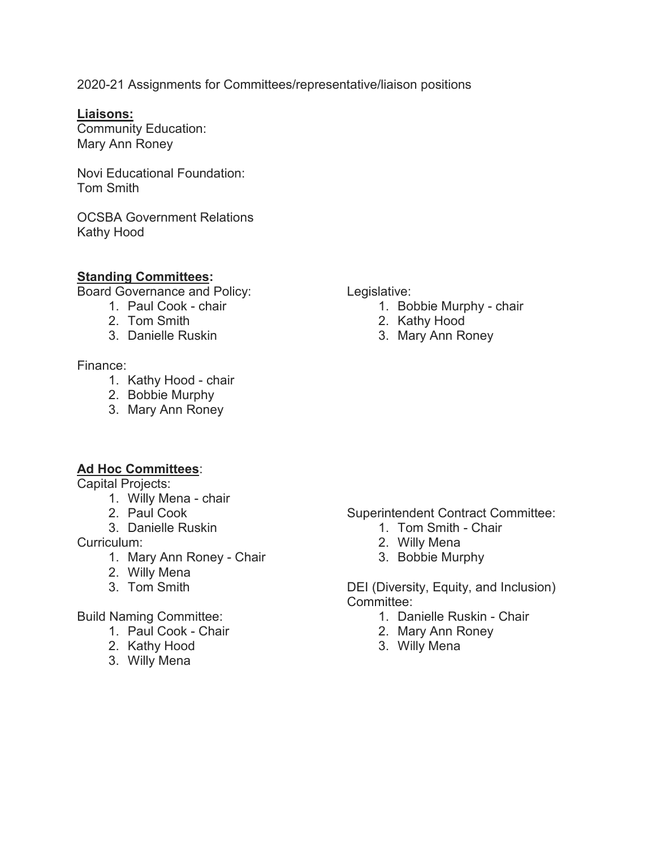2020-21 Assignments for Committees/representative/liaison positions

### **Liaisons:**

Community Education: Mary Ann Roney

Novi Educational Foundation: Tom Smith

OCSBA Government Relations Kathy Hood

### **Standing Committees:**

Board Governance and Policy:

- 1. Paul Cook chair
- 2. Tom Smith
- 3. Danielle Ruskin

### Finance:

- 1. Kathy Hood chair
- 2. Bobbie Murphy
- 3. Mary Ann Roney

### Legislative:

- 1. Bobbie Murphy chair
- 2. Kathy Hood
- 3. Mary Ann Roney

### **Ad Hoc Committees**:

Capital Projects:

- 1. Willy Mena chair
- 2. Paul Cook
- 3. Danielle Ruskin

Curriculum:

- 1. Mary Ann Roney Chair
- 2. Willy Mena
- 3. Tom Smith

### Build Naming Committee:

- 1. Paul Cook Chair
- 2. Kathy Hood
- 3. Willy Mena

Superintendent Contract Committee:

- 1. Tom Smith Chair
- 2. Willy Mena
- 3. Bobbie Murphy

DEI (Diversity, Equity, and Inclusion) Committee:

- 1. Danielle Ruskin Chair
- 2. Mary Ann Roney
- 3. Willy Mena